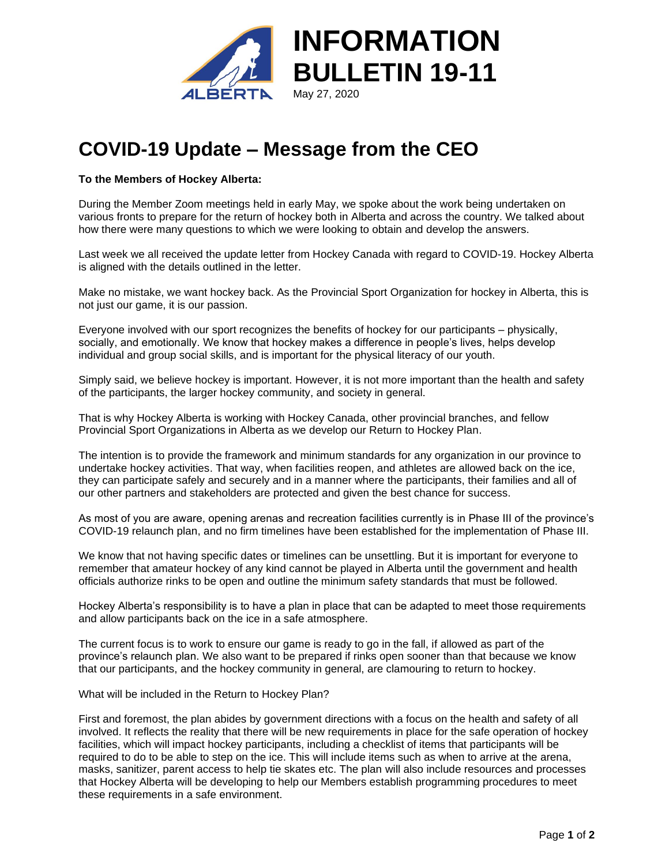

## **COVID-19 Update – Message from the CEO**

## **To the Members of Hockey Alberta:**

During the Member Zoom meetings held in early May, we spoke about the work being undertaken on various fronts to prepare for the return of hockey both in Alberta and across the country. We talked about how there were many questions to which we were looking to obtain and develop the answers.

Last week we all received the update letter from Hockey Canada with regard to COVID-19. Hockey Alberta is aligned with the details outlined in the letter.

Make no mistake, we want hockey back. As the Provincial Sport Organization for hockey in Alberta, this is not just our game, it is our passion.

Everyone involved with our sport recognizes the benefits of hockey for our participants – physically, socially, and emotionally. We know that hockey makes a difference in people's lives, helps develop individual and group social skills, and is important for the physical literacy of our youth.

Simply said, we believe hockey is important. However, it is not more important than the health and safety of the participants, the larger hockey community, and society in general.

That is why Hockey Alberta is working with Hockey Canada, other provincial branches, and fellow Provincial Sport Organizations in Alberta as we develop our Return to Hockey Plan.

The intention is to provide the framework and minimum standards for any organization in our province to undertake hockey activities. That way, when facilities reopen, and athletes are allowed back on the ice, they can participate safely and securely and in a manner where the participants, their families and all of our other partners and stakeholders are protected and given the best chance for success.

As most of you are aware, opening arenas and recreation facilities currently is in Phase III of the province's COVID-19 relaunch plan, and no firm timelines have been established for the implementation of Phase III.

We know that not having specific dates or timelines can be unsettling. But it is important for everyone to remember that amateur hockey of any kind cannot be played in Alberta until the government and health officials authorize rinks to be open and outline the minimum safety standards that must be followed.

Hockey Alberta's responsibility is to have a plan in place that can be adapted to meet those requirements and allow participants back on the ice in a safe atmosphere.

The current focus is to work to ensure our game is ready to go in the fall, if allowed as part of the province's relaunch plan. We also want to be prepared if rinks open sooner than that because we know that our participants, and the hockey community in general, are clamouring to return to hockey.

What will be included in the Return to Hockey Plan?

First and foremost, the plan abides by government directions with a focus on the health and safety of all involved. It reflects the reality that there will be new requirements in place for the safe operation of hockey facilities, which will impact hockey participants, including a checklist of items that participants will be required to do to be able to step on the ice. This will include items such as when to arrive at the arena, masks, sanitizer, parent access to help tie skates etc. The plan will also include resources and processes that Hockey Alberta will be developing to help our Members establish programming procedures to meet these requirements in a safe environment.